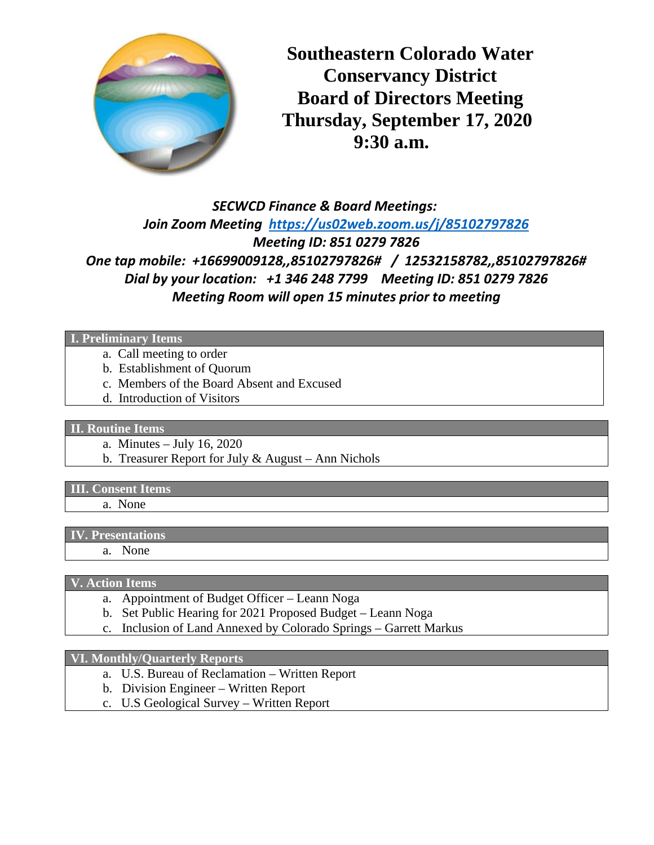

**Southeastern Colorado Water Conservancy District Board of Directors Meeting Thursday, September 17, 2020 9:30 a.m.**

# *SECWCD Finance & Board Meetings: Join Zoom Meeting <https://us02web.zoom.us/j/85102797826> Meeting ID: 851 0279 7826 One tap mobile: +16699009128,,85102797826# / 12532158782,,85102797826# Dial by your location: +1 346 248 7799 Meeting ID: 851 0279 7826 Meeting Room will open 15 minutes prior to meeting*

**I. Preliminary Items** 

- a. Call meeting to order
- b. Establishment of Quorum
- c. Members of the Board Absent and Excused
- d. Introduction of Visitors

#### **II. Routine Items**

- a. Minutes July 16, 2020
- b. Treasurer Report for July & August Ann Nichols

#### **III. Consent Items**

a. None

#### **IV. Presentations**

a. None

#### **V. Action Items**

- a. Appointment of Budget Officer Leann Noga
- b. Set Public Hearing for 2021 Proposed Budget Leann Noga
- c. Inclusion of Land Annexed by Colorado Springs Garrett Markus

#### **VI. Monthly/Quarterly Reports**

- a. U.S. Bureau of Reclamation Written Report
- b. Division Engineer Written Report
- c. U.S Geological Survey Written Report